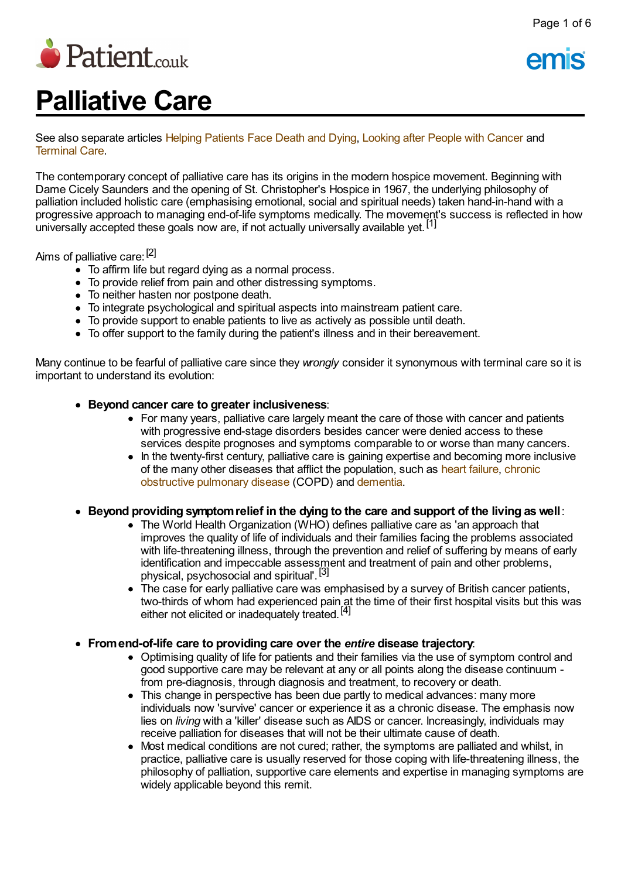

# **Palliative Care**

See also separate articles Helping [Patients](http://www.patient.co.uk/doctor/helping-patients-face-death-and-dying) Face Death and Dying, [Looking](http://www.patient.co.uk/doctor/looking-after-people-with-cancer) after People with Cancer and [Terminal](http://www.patient.co.uk/doctor/end-of-life-care-pro) Care.

The contemporary concept of palliative care has its origins in the modern hospice movement. Beginning with Dame Cicely Saunders and the opening of St. Christopher's Hospice in 1967, the underlying philosophy of palliation included holistic care (emphasising emotional, social and spiritual needs) taken hand-in-hand with a progressive approach to managing end-of-life symptoms medically. The movement's success is reflected in how progressive approach to managing one or index priperite including. The indicating<br>universally accepted these goals now are, if not actually universally available yet.<sup>[1]</sup>

Aims of palliative care: [<sup>2]</sup>

- To affirm life but regard dying as a normal process.
- To provide relief from pain and other distressing symptoms.
- To neither hasten nor postpone death.
- To integrate psychological and spiritual aspects into mainstream patient care.
- To provide support to enable patients to live as actively as possible until death.
- To offer support to the family during the patient's illness and in their bereavement.

Many continue to be fearful of palliative care since they *wrongly* consider it synonymous with terminal care so it is important to understand its evolution:

- **Beyond cancer care to greater inclusiveness**:
	- For many years, palliative care largely meant the care of those with cancer and patients with progressive end-stage disorders besides cancer were denied access to these services despite prognoses and symptoms comparable to or worse than many cancers.
	- In the twenty-first century, palliative care is gaining expertise and becoming more inclusive of the many other diseases that afflict the [population,](http://www.patient.co.uk/search.asp?searchterm=CHRONIC+OBSTRUCTIVE+PULMONARY+DISEASE++COPD+&collections=PPsearch) such as heart [failure,](http://www.patient.co.uk/search.asp?searchterm=CARDIAC+FAILURE&collections=PPsearch) chronic obstructive pulmonary disease (COPD) and [dementia](http://www.patient.co.uk/search.asp?searchterm=DEMENTIA&collections=PPsearch).
- **Beyond providing symptomrelief in the dying to the care and support of the living aswell**:
	- The World Health Organization (WHO) defines palliative care as 'an approach that improves the quality of life of individuals and their families facing the problems associated with life-threatening illness, through the prevention and relief of suffering by means of early identification and impeccable assessment and treatment of pain and other problems, physical, psychosocial and spiritual'. [3]
	- The case for early palliative care was emphasised by a survey of British cancer patients, two-thirds of whom had experienced pain at the time of their first hospital visits but this was either not elicited or inadequately treated.<sup>[4]</sup>
- **Fromend-of-life care to providing care over the** *entire* **disease trajectory**:
	- Optimising quality of life for patients and their families via the use of symptom control and good supportive care may be relevant at any or all points along the disease continuum from pre-diagnosis, through diagnosis and treatment, to recovery or death.
	- This change in perspective has been due partly to medical advances: many more individuals now 'survive' cancer or experience it as a chronic disease. The emphasis now lies on *living* with a 'killer' disease such as AIDS or cancer. Increasingly, individuals may receive palliation for diseases that will not be their ultimate cause of death.
	- Most medical conditions are not cured; rather, the symptoms are palliated and whilst, in practice, palliative care is usually reserved for those coping with life-threatening illness, the philosophy of palliation, supportive care elements and expertise in managing symptoms are widely applicable beyond this remit.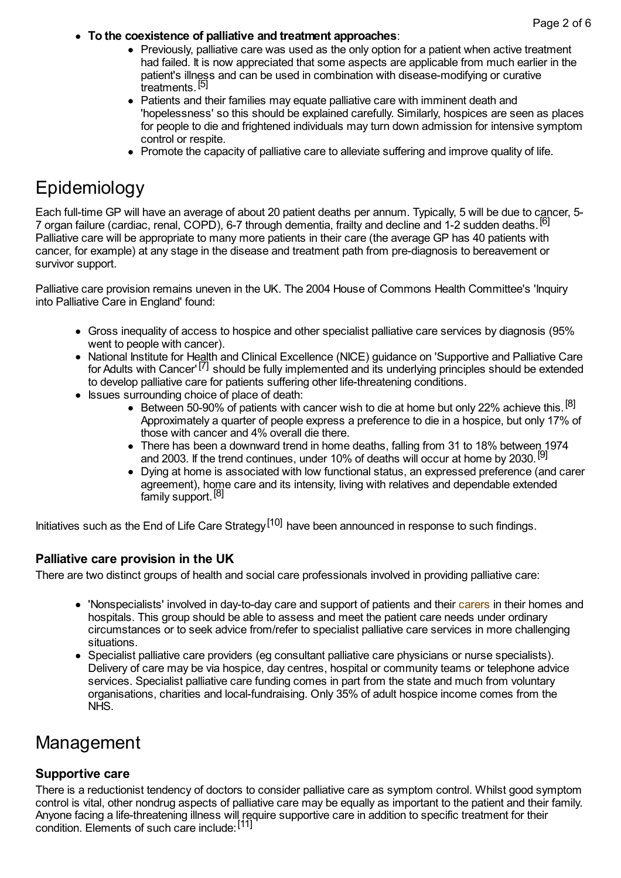- **To the coexistence of palliative and treatment approaches**:
	- Previously, palliative care was used as the only option for a patient when active treatment had failed. It is now appreciated that some aspects are applicable from much earlier in the patient's illness and can be used in combination with disease-modifying or curative treatments.<sup>[5]</sup>
	- Patients and their families may equate palliative care with imminent death and 'hopelessness' so this should be explained carefully. Similarly, hospices are seen as places for people to die and frightened individuals may turn down admission for intensive symptom control or respite.
	- Promote the capacity of palliative care to alleviate suffering and improve quality of life.

# **Epidemiology**

Each full-time GP will have an average of about 20 patient deaths per annum. Typically, 5 will be due to cancer, 5- 7 organ failure (cardiac, renal, COPD), 6-7 through dementia, frailty and decline and 1-2 sudden deaths. [6] Palliative care will be appropriate to many more patients in their care (the average GP has 40 patients with cancer, for example) at any stage in the disease and treatment path from pre-diagnosis to bereavement or survivor support.

Palliative care provision remains uneven in the UK. The 2004 House of Commons Health Committee's 'Inquiry into Palliative Care in England' found:

- Gross inequality of access to hospice and other specialist palliative care services by diagnosis (95% went to people with cancer).
- National Institute for Health and Clinical Excellence (NICE) guidance on 'Supportive and Palliative Care for Adults with Cancer' [7] should be fully implemented and its underlying principles should be extended to develop palliative care for patients suffering other life-threatening conditions.
- Issues surrounding choice of place of death:
	- Between 50-90% of patients with cancer wish to die at home but only 22% achieve this.<sup>[8]</sup> Approximately a quarter of people express a preference to die in a hospice, but only 17% of those with cancer and 4% overall die there.
	- There has been a downward trend in home deaths, falling from 31 to 18% between 1974 and 2003. If the trend continues, under 10% of deaths will occur at home by 2030.<sup>[9]</sup>
	- Dying at home is associated with low functional status, an expressed preference (and carer agreement), home care and its intensity, living with relatives and dependable extended family support.<sup>[8]</sup>

Initiatives such as the End of Life Care Strategy<sup>[10]</sup> have been announced in response to such findings.

### **Palliative care provision in the UK**

There are two distinct groups of health and social care professionals involved in providing palliative care:

- 'Nonspecialists' involved in day-to-day care and support of patients and their [carers](http://www.patient.co.uk/search.asp?searchterm=CARERS&collections=PPsearch) in their homes and hospitals. This group should be able to assess and meet the patient care needs under ordinary circumstances or to seek advice from/refer to specialist palliative care services in more challenging situations.
- Specialist palliative care providers (eg consultant palliative care physicians or nurse specialists). Delivery of care may be via hospice, day centres, hospital or community teams or telephone advice services. Specialist palliative care funding comes in part from the state and much from voluntary organisations, charities and local-fundraising. Only 35% of adult hospice income comes from the NHS.

# Management

### **Supportive care**

There is a reductionist tendency of doctors to consider palliative care as symptom control. Whilst good symptom control is vital, other nondrug aspects of palliative care may be equally as important to the patient and their family. Anyone facing a life-threatening illness will require supportive care in addition to specific treatment for their condition. Elements of such care include: [11]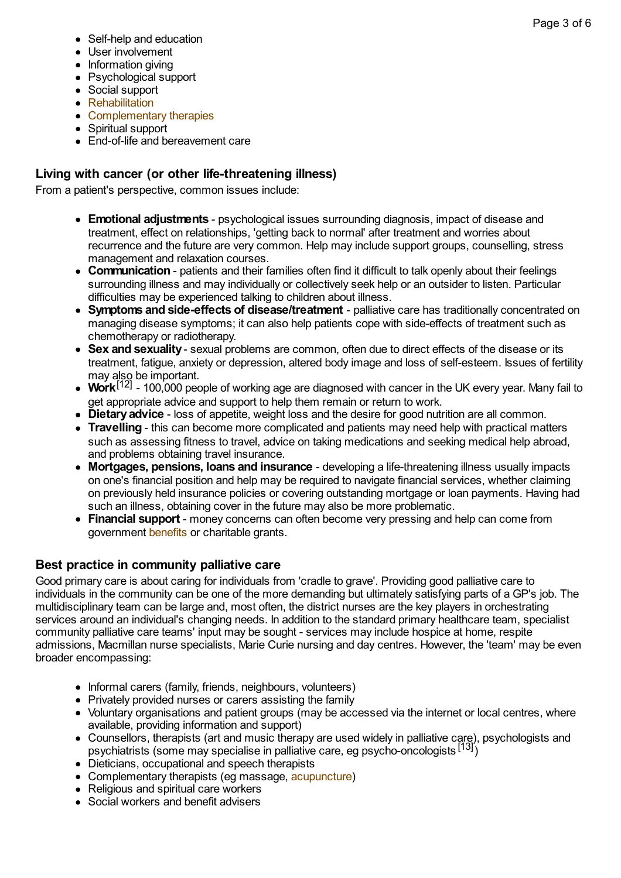- Self-help and education
- User involvement
- Information giving
- Psychological support
- Social support
- [Rehabilitation](http://www.patient.co.uk/search.asp?searchterm=REHABILITATION+MEDICINE&collections=PPsearch)
- [Complementary](http://www.patient.co.uk/search.asp?searchterm=COMPLEMENTARY+THERAPIES&collections=PPsearch) therapies
- Spiritual support
- End-of-life and bereavement care

### **Living with cancer (or other life-threatening illness)**

From a patient's perspective, common issues include:

- **Emotional adjustments** psychological issues surrounding diagnosis, impact of disease and treatment, effect on relationships, 'getting back to normal' after treatment and worries about recurrence and the future are very common. Help may include support groups, counselling, stress management and relaxation courses.
- **Communication** patients and their families often find it difficult to talk openly about their feelings surrounding illness and may individually or collectively seek help or an outsider to listen. Particular difficulties may be experienced talking to children about illness.
- **Symptoms and side-effects of disease/treatment** palliative care has traditionally concentrated on managing disease symptoms; it can also help patients cope with side-effects of treatment such as chemotherapy or radiotherapy.
- **Sex and sexuality** sexual problems are common, often due to direct effects of the disease or its treatment, fatigue, anxiety or depression, altered body image and loss of self-esteem. Issues of fertility may also be important.
- way til<sup>12</sup>] 100,000 people of working age are diagnosed with cancer in the UK every year. Many fail to get appropriate advice and support to help them remain or return to work.
- **Dietaryadvice** loss of appetite, weight loss and the desire for good nutrition are all common.
- **Travelling** this can become more complicated and patients may need help with practical matters such as assessing fitness to travel, advice on taking medications and seeking medical help abroad, and problems obtaining travel insurance.
- **Mortgages, pensions, loans and insurance** developing a life-threatening illness usually impacts on one's financial position and help may be required to navigate financial services, whether claiming on previously held insurance policies or covering outstanding mortgage or loan payments. Having had such an illness, obtaining cover in the future may also be more problematic.
- **Financial support** money concerns can often become very pressing and help can come from government [benefits](http://www.patient.co.uk/search.asp?searchterm=SUPPORT+AND+WELFARE&collections=PPsearch) or charitable grants.

### **Best practice in community palliative care**

Good primary care is about caring for individuals from 'cradle to grave'. Providing good palliative care to individuals in the community can be one of the more demanding but ultimately satisfying parts of a GP's job. The multidisciplinary team can be large and, most often, the district nurses are the key players in orchestrating services around an individual's changing needs. In addition to the standard primary healthcare team, specialist community palliative care teams' input may be sought - services may include hospice at home, respite admissions, Macmillan nurse specialists, Marie Curie nursing and day centres. However, the 'team' may be even broader encompassing:

- Informal carers (family, friends, neighbours, volunteers)
- Privately provided nurses or carers assisting the family
- Voluntary organisations and patient groups (may be accessed via the internet or local centres, where available, providing information and support)
- Counsellors, therapists (art and music therapy are used widely in palliative care), psychologists and psychiatrists (some may specialise in palliative care, eg psycho-oncologists  $\left[13\right]$ )
- Dieticians, occupational and speech therapists
- Complementary therapists (eq massage, [acupuncture](http://www.patient.co.uk/search.asp?searchterm=ACUPUNCTURE&collections=PPsearch))
- Religious and spiritual care workers
- Social workers and benefit advisers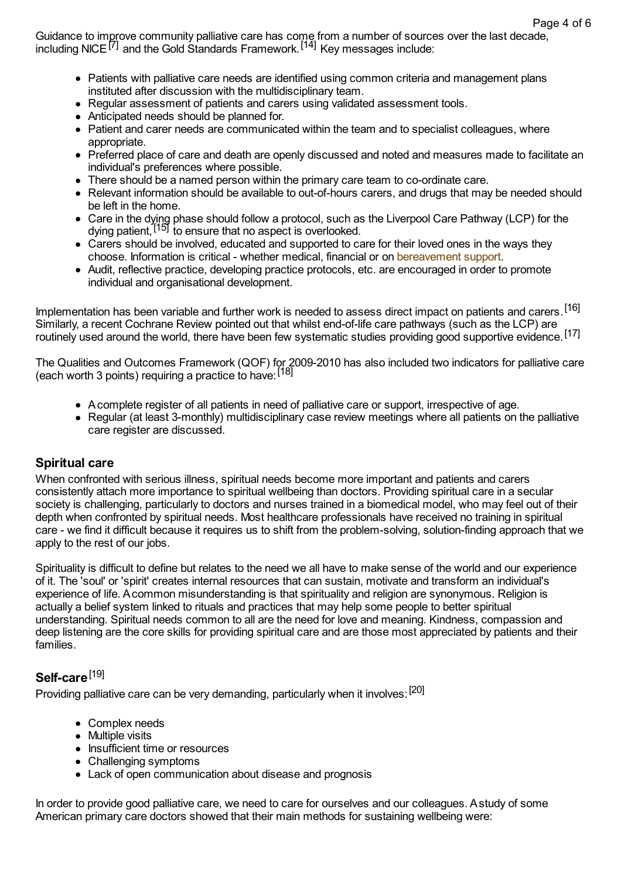Guidance to improve community palliative care has come from a number of sources over the last decade, including NICE<sup>[7]</sup> and the Gold Standards Framework.<sup>[14]</sup> Key messages include:

- Patients with palliative care needs are identified using common criteria and management plans instituted after discussion with the multidisciplinary team.
- Regular assessment of patients and carers using validated assessment tools.
- Anticipated needs should be planned for.
- Patient and carer needs are communicated within the team and to specialist colleagues, where appropriate.
- Preferred place of care and death are openly discussed and noted and measures made to facilitate an individual's preferences where possible.
- There should be a named person within the primary care team to co-ordinate care.
- Relevant information should be available to out-of-hours carers, and drugs that may be needed should be left in the home.
- Care in the dying phase should follow a protocol, such as the Liverpool Care Pathway (LCP) for the Using patient, <sup>[15]</sup> to ensure that no aspect is overlooked.
- Carers should be involved, educated and supported to care for their loved ones in the ways they choose. Information is critical - whether medical, financial or on [bereavement](http://www.patient.co.uk/search.asp?searchterm=BEREAVEMENT+SUPPORT&collections=PPsearch) support.
- Audit, reflective practice, developing practice protocols, etc. are encouraged in order to promote individual and organisational development.

Implementation has been variable and further work is needed to assess direct impact on patients and carers. [16] Similarly, a recent Cochrane Review pointed out that whilst end-of-life care pathways (such as the LCP) are routinely used around the world, there have been few systematic studies providing good supportive evidence. [17]

The Qualities and Outcomes Framework (QOF) for 2009-2010 has also included two indicators for palliative care (each worth 3 points) requiring a practice to have: [18]

- Acomplete register of all patients in need of palliative care or support, irrespective of age.
- Regular (at least 3-monthly) multidisciplinary case review meetings where all patients on the palliative care register are discussed.

### **Spiritual care**

When confronted with serious illness, spiritual needs become more important and patients and carers consistently attach more importance to spiritual wellbeing than doctors. Providing spiritual care in a secular society is challenging, particularly to doctors and nurses trained in a biomedical model, who may feel out of their depth when confronted by spiritual needs. Most healthcare professionals have received no training in spiritual care - we find it difficult because it requires us to shift from the problem-solving, solution-finding approach that we apply to the rest of our jobs.

Spirituality is difficult to define but relates to the need we all have to make sense of the world and our experience of it. The 'soul' or 'spirit' creates internal resources that can sustain, motivate and transform an individual's experience of life. Acommon misunderstanding is that spirituality and religion are synonymous. Religion is actually a belief system linked to rituals and practices that may help some people to better spiritual understanding. Spiritual needs common to all are the need for love and meaning. Kindness, compassion and deep listening are the core skills for providing spiritual care and are those most appreciated by patients and their families.

## **Self-care** [19]

Providing palliative care can be very demanding, particularly when it involves: <sup>[20]</sup>

- Complex needs
- Multiple visits
- Insufficient time or resources
- Challenging symptoms
- Lack of open communication about disease and prognosis

In order to provide good palliative care, we need to care for ourselves and our colleagues. Astudy of some American primary care doctors showed that their main methods for sustaining wellbeing were: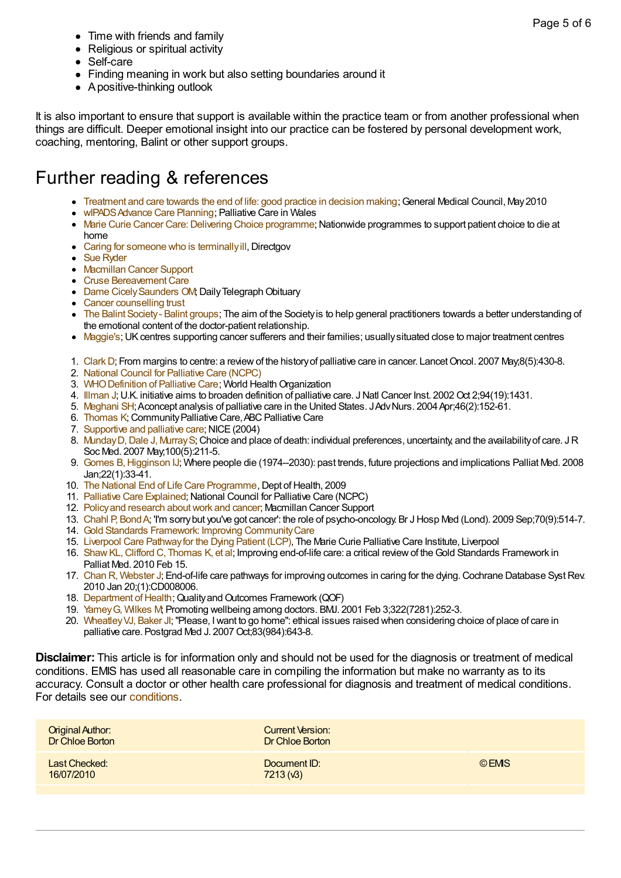- Time with friends and family
- Religious or spiritual activity
- Self-care
- Finding meaning in work but also setting boundaries around it
- A positive-thinking outlook

It is also important to ensure that support is available within the practice team or from another professional when things are difficult. Deeper emotional insight into our practice can be fostered by personal development work, coaching, mentoring, Balint or other support groups.

# Further reading & references

- [Treatment](http://www.gmc-uk.org/End_of_life.pdf_32486688.pdf) and care towards the end of life: good practice in decision making; General Medical Council, May 2010
- wIPADS Advance Care Planning; Palliative Care in Wales
- Marie Curie Cancer Care: Delivering Choice programme: Nationwide programmes to support patient choice to die at home
- Caring for someone who is terminally ill, Directgov
- Sue [Ryder](http://www.sueryder.org)
- [Macmillan](http://www.macmillan.org.uk/) Cancer Support
- Cruse Bereavement Care
- Dame Cicely Saunders OM; Daily Telegraph Obituary
- Cancer [counselling](http://www.cancercounselling.org.uk/) trust
- The Balint [Society-](http://www.balint.co.uk/about_us/balint_groups.html) Balint groups; The aim of the Society is to help general practitioners towards a better understanding of the emotional content of the doctor-patient relationship.
- [Maggie's](http://www.maggiescentres.org/maggies/maggiescentres/home/home.html); UK centres supporting cancer sufferers and their families; usually situated close to major treatment centres
- 1. Clark D; From margins to centre: a review of the history of palliative care in cancer. Lancet Oncol. 2007 May;8(5):430-8.
- 2. National Council for [Palliative](http://www.ncpc.org.uk) Care (NCPC)
- 3. WHO Definition of Palliative Care: World Health Organization
- 4. [Illman](http://www.ncbi.nlm.nih.gov/entrez/query.fcgi?cmd=Retrieve&db=PubMed&dopt=Abstract&list_uids=12359850) J; U.K. initiative aims to broaden definition of palliative care. J Natl Cancer Inst. 2002 Oct 2;94(19):1431.
- 5. [Meghani](http://www.ncbi.nlm.nih.gov/entrez/query.fcgi?cmd=Retrieve&db=PubMed&dopt=Abstract&list_uids=15056328) SH; Aconcept analysis of palliative care in the United States. J Adv Nurs. 2004 Apr;46(2):152-61.
- 6. [Thomas](http://www.goldstandardsframework.org.uk/cd-content/uploads/files/Library%2C Tools %26 resources/ABC Palliative Care.pdf) K; Community Palliative Care, ABC Palliative Care
- 7. [Supportive](http://www.nice.org.uk/page.aspx?o=110005) and palliative care: NICE (2004)
- 8. Munday D, Dale J, Murray S; Choice and place of death: individual preferences, uncertainty, and the availability of care. JR Soc Med. 2007 May;100(5):211-5.
- 9. Gomes [B,Higginson](http://www.ncbi.nlm.nih.gov/entrez/query.fcgi?cmd=Retrieve&db=PubMed&dopt=Abstract&list_uids=18216075) IJ; Where people die (1974--2030): past trends, future projections and implications Palliat Med. 2008 Jan;22(1):33-41.
- 10. The National End of Life Care [Programme](http://webarchive.nationalarchives.gov.uk/+/www.dh.gov.uk/en/Healthcare/IntegratedCare/Endoflifecare/DH_086083), Dept of Health, 2009
- 11. Palliative Care [Explained](http://www.ncpc.org.uk/palliative_care.html); National Council for Palliative Care (NCPC)
- 12. Policy and research about work and cancer; Macmillan Cancer Support
- 13. Chahl P, Bond A; 'I'm sorry but you've got cancer': the role of psycho-oncology. Br J Hosp Med (Lond). 2009 Sep;70(9):514-7.
- 14. Gold Standards Framework: Improving [CommunityCare](http://www.goldstandardsframework.org.uk)
- 15. Liverpool Care [Pathwayfor](http://www.mcpcil.org.uk/mcpcil/liverpool-care-pathway/) the Dying Patient (LCP), The Marie Curie Palliative Care Institute, Liverpool
- 16. Shaw KL, Clifford C, Thomas K, et al; Improving end-of-life care: a critical review of the Gold Standards Framework in Palliat Med. 2010 Feb 15.
- 17. Chan R, [Webster](http://www.ncbi.nlm.nih.gov/entrez/query.fcgi?cmd=Retrieve&db=PubMed&dopt=Abstract&list_uids=20091660) J; End-of-life care pathways for improving outcomes in caring for the dying. Cochrane Database Syst Rev. 2010 Jan 20;(1):CD008006.
- 18. [Department](http://www.dh.gov.uk/en/Policyandguidance/Organisationpolicy/Primarycare/Primarycarecontracting/QOF/index.htm) of Health; Quality and Outcomes Framework (QOF)
- 19. [YameyG,](http://www.ncbi.nlm.nih.gov/entrez/query.fcgi?cmd=Retrieve&db=PubMed&dopt=Abstract&list_uids=11157513) Wilkes M; Promoting wellbeing among doctors. BMJ. 2001 Feb 3;322(7281):252-3.
- 20. Wheatley VJ, Baker JI; "Please, I want to go home": ethical issues raised when considering choice of place of care in palliative care. Postgrad Med J. 2007 Oct;83(984):643-8.

**Disclaimer:** This article is for information only and should not be used for the diagnosis or treatment of medical conditions. EMIS has used all reasonable care in compiling the information but make no warranty as to its accuracy. Consult a doctor or other health care professional for diagnosis and treatment of medical conditions. For details see our [conditions.](http://www.patient.co.uk/disclaimer.asp)

| <b>Original Author:</b><br>Dr Chloe Borton | Current Version:<br>Dr Chloe Borton |        |
|--------------------------------------------|-------------------------------------|--------|
| Last Checked:<br>16/07/2010                | Document ID:<br>7213(6)             | © EMIS |